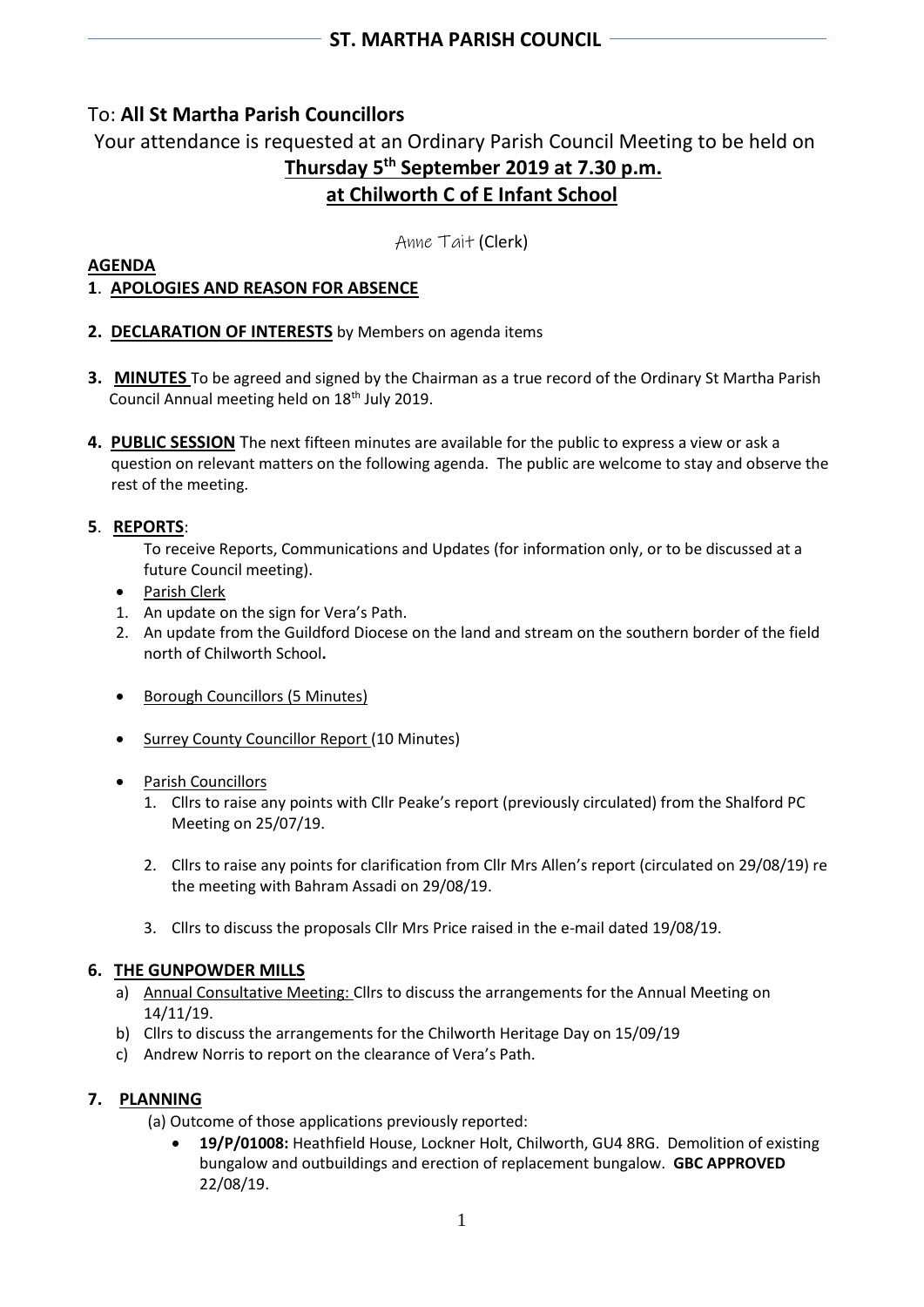# To: **All St Martha Parish Councillors**

Your attendance is requested at an Ordinary Parish Council Meeting to be held on **Thursday 5 th September 2019 at 7.30 p.m. at Chilworth C of E Infant School**

Anne Tait (Clerk)

# **AGENDA**

# **1**. **APOLOGIES AND REASON FOR ABSENCE**

- **2. DECLARATION OF INTERESTS** by Members on agenda items
- **3. MINUTES** To be agreed and signed by the Chairman as a true record of the Ordinary St Martha Parish Council Annual meeting held on 18th July 2019.
- **4. PUBLIC SESSION** The next fifteen minutes are available for the public to express a view or ask a question on relevant matters on the following agenda. The public are welcome to stay and observe the rest of the meeting.

# **5**. **REPORTS**:

To receive Reports, Communications and Updates (for information only, or to be discussed at a future Council meeting).

- Parish Clerk
- 1. An update on the sign for Vera's Path.
- 2. An update from the Guildford Diocese on the land and stream on the southern border of the field north of Chilworth School**.**
- Borough Councillors (5 Minutes)
- Surrey County Councillor Report (10 Minutes)
- Parish Councillors
	- 1. Cllrs to raise any points with Cllr Peake's report (previously circulated) from the Shalford PC Meeting on 25/07/19.
	- 2. Cllrs to raise any points for clarification from Cllr Mrs Allen's report (circulated on 29/08/19) re the meeting with Bahram Assadi on 29/08/19.
	- 3. Cllrs to discuss the proposals Cllr Mrs Price raised in the e-mail dated 19/08/19.

# **6. THE GUNPOWDER MILLS**

- a) Annual Consultative Meeting: Cllrs to discuss the arrangements for the Annual Meeting on 14/11/19.
- b) Cllrs to discuss the arrangements for the Chilworth Heritage Day on 15/09/19
- c) Andrew Norris to report on the clearance of Vera's Path.

# **7. PLANNING**

(a) Outcome of those applications previously reported:

• **19/P/01008:** Heathfield House, Lockner Holt, Chilworth, GU4 8RG. Demolition of existing bungalow and outbuildings and erection of replacement bungalow. **GBC APPROVED** 22/08/19.